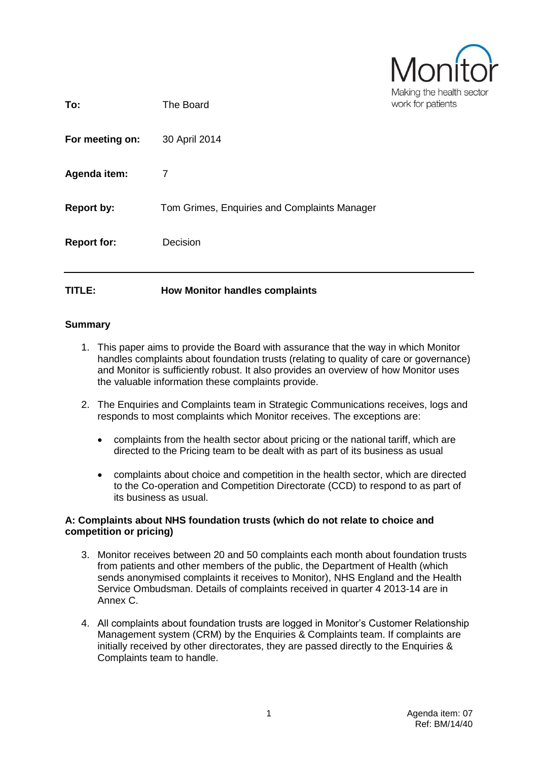| MONIT                    |  |  |
|--------------------------|--|--|
| Making the health sector |  |  |
| work for patients        |  |  |

| TITLE:             | <b>How Monitor handles complaints</b>        |                   |
|--------------------|----------------------------------------------|-------------------|
| <b>Report for:</b> | Decision                                     |                   |
| <b>Report by:</b>  | Tom Grimes, Enquiries and Complaints Manager |                   |
| Agenda item:       | 7                                            |                   |
| For meeting on:    | 30 April 2014                                |                   |
| To:                | The Board                                    | work for patients |

# **Summary**

- 1. This paper aims to provide the Board with assurance that the way in which Monitor handles complaints about foundation trusts (relating to quality of care or governance) and Monitor is sufficiently robust. It also provides an overview of how Monitor uses the valuable information these complaints provide.
- 2. The Enquiries and Complaints team in Strategic Communications receives, logs and responds to most complaints which Monitor receives. The exceptions are:
	- complaints from the health sector about pricing or the national tariff, which are directed to the Pricing team to be dealt with as part of its business as usual
	- complaints about choice and competition in the health sector, which are directed to the Co-operation and Competition Directorate (CCD) to respond to as part of its business as usual.

## **A: Complaints about NHS foundation trusts (which do not relate to choice and competition or pricing)**

- 3. Monitor receives between 20 and 50 complaints each month about foundation trusts from patients and other members of the public, the Department of Health (which sends anonymised complaints it receives to Monitor), NHS England and the Health Service Ombudsman. Details of complaints received in quarter 4 2013-14 are in Annex C.
- 4. All complaints about foundation trusts are logged in Monitor's Customer Relationship Management system (CRM) by the Enquiries & Complaints team. If complaints are initially received by other directorates, they are passed directly to the Enquiries & Complaints team to handle.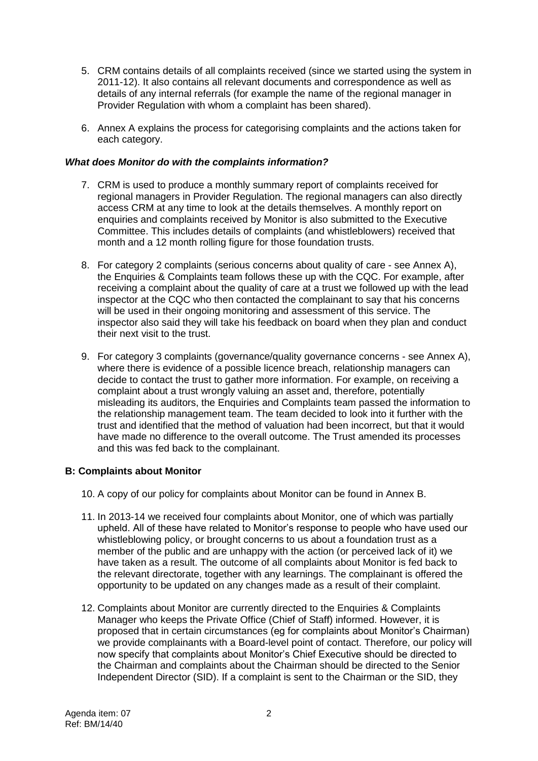- 5. CRM contains details of all complaints received (since we started using the system in 2011-12). It also contains all relevant documents and correspondence as well as details of any internal referrals (for example the name of the regional manager in Provider Regulation with whom a complaint has been shared).
- 6. Annex A explains the process for categorising complaints and the actions taken for each category.

# *What does Monitor do with the complaints information?*

- 7. CRM is used to produce a monthly summary report of complaints received for regional managers in Provider Regulation. The regional managers can also directly access CRM at any time to look at the details themselves. A monthly report on enquiries and complaints received by Monitor is also submitted to the Executive Committee. This includes details of complaints (and whistleblowers) received that month and a 12 month rolling figure for those foundation trusts.
- 8. For category 2 complaints (serious concerns about quality of care see Annex A), the Enquiries & Complaints team follows these up with the CQC. For example, after receiving a complaint about the quality of care at a trust we followed up with the lead inspector at the CQC who then contacted the complainant to say that his concerns will be used in their ongoing monitoring and assessment of this service. The inspector also said they will take his feedback on board when they plan and conduct their next visit to the trust.
- 9. For category 3 complaints (governance/quality governance concerns see Annex A), where there is evidence of a possible licence breach, relationship managers can decide to contact the trust to gather more information. For example, on receiving a complaint about a trust wrongly valuing an asset and, therefore, potentially misleading its auditors, the Enquiries and Complaints team passed the information to the relationship management team. The team decided to look into it further with the trust and identified that the method of valuation had been incorrect, but that it would have made no difference to the overall outcome. The Trust amended its processes and this was fed back to the complainant.

# **B: Complaints about Monitor**

- 10. A copy of our policy for complaints about Monitor can be found in Annex B.
- 11. In 2013-14 we received four complaints about Monitor, one of which was partially upheld. All of these have related to Monitor's response to people who have used our whistleblowing policy, or brought concerns to us about a foundation trust as a member of the public and are unhappy with the action (or perceived lack of it) we have taken as a result. The outcome of all complaints about Monitor is fed back to the relevant directorate, together with any learnings. The complainant is offered the opportunity to be updated on any changes made as a result of their complaint.
- 12. Complaints about Monitor are currently directed to the Enquiries & Complaints Manager who keeps the Private Office (Chief of Staff) informed. However, it is proposed that in certain circumstances (eg for complaints about Monitor's Chairman) we provide complainants with a Board-level point of contact. Therefore, our policy will now specify that complaints about Monitor's Chief Executive should be directed to the Chairman and complaints about the Chairman should be directed to the Senior Independent Director (SID). If a complaint is sent to the Chairman or the SID, they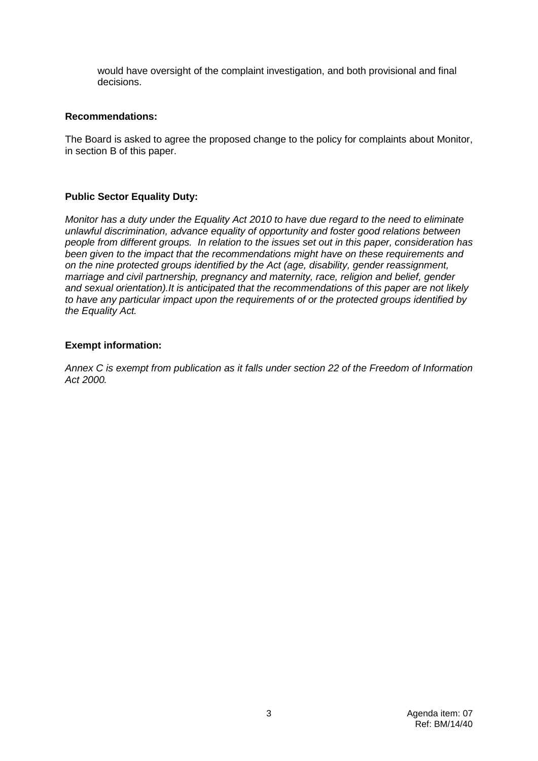would have oversight of the complaint investigation, and both provisional and final decisions.

## **Recommendations:**

The Board is asked to agree the proposed change to the policy for complaints about Monitor, in section B of this paper.

# **Public Sector Equality Duty:**

*Monitor has a duty under the Equality Act 2010 to have due regard to the need to eliminate unlawful discrimination, advance equality of opportunity and foster good relations between people from different groups. In relation to the issues set out in this paper, consideration has been given to the impact that the recommendations might have on these requirements and on the nine protected groups identified by the Act (age, disability, gender reassignment, marriage and civil partnership, pregnancy and maternity, race, religion and belief, gender and sexual orientation).It is anticipated that the recommendations of this paper are not likely to have any particular impact upon the requirements of or the protected groups identified by the Equality Act.*

## **Exempt information:**

*Annex C is exempt from publication as it falls under section 22 of the Freedom of Information Act 2000.*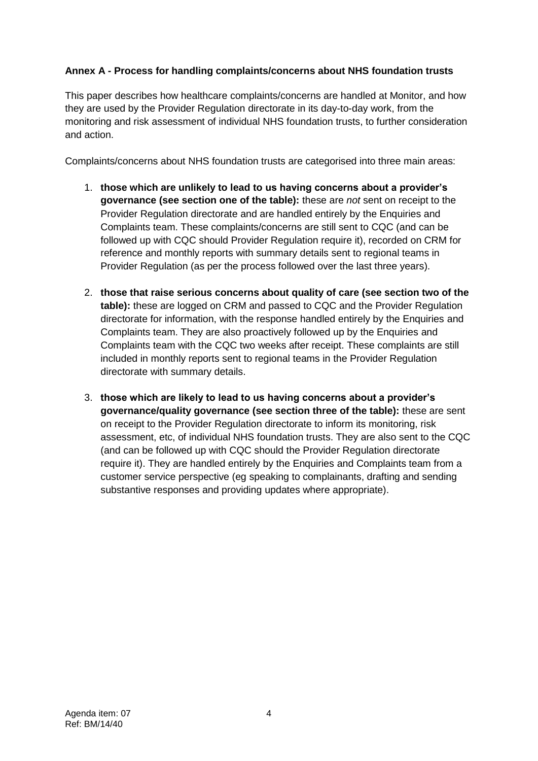# **Annex A - Process for handling complaints/concerns about NHS foundation trusts**

This paper describes how healthcare complaints/concerns are handled at Monitor, and how they are used by the Provider Regulation directorate in its day-to-day work, from the monitoring and risk assessment of individual NHS foundation trusts, to further consideration and action.

Complaints/concerns about NHS foundation trusts are categorised into three main areas:

- 1. **those which are unlikely to lead to us having concerns about a provider's governance (see section one of the table):** these are *not* sent on receipt to the Provider Regulation directorate and are handled entirely by the Enquiries and Complaints team. These complaints/concerns are still sent to CQC (and can be followed up with CQC should Provider Regulation require it), recorded on CRM for reference and monthly reports with summary details sent to regional teams in Provider Regulation (as per the process followed over the last three years).
- 2. **those that raise serious concerns about quality of care (see section two of the table):** these are logged on CRM and passed to CQC and the Provider Regulation directorate for information, with the response handled entirely by the Enquiries and Complaints team. They are also proactively followed up by the Enquiries and Complaints team with the CQC two weeks after receipt. These complaints are still included in monthly reports sent to regional teams in the Provider Regulation directorate with summary details.
- 3. **those which are likely to lead to us having concerns about a provider's governance/quality governance (see section three of the table):** these are sent on receipt to the Provider Regulation directorate to inform its monitoring, risk assessment, etc, of individual NHS foundation trusts. They are also sent to the CQC (and can be followed up with CQC should the Provider Regulation directorate require it). They are handled entirely by the Enquiries and Complaints team from a customer service perspective (eg speaking to complainants, drafting and sending substantive responses and providing updates where appropriate).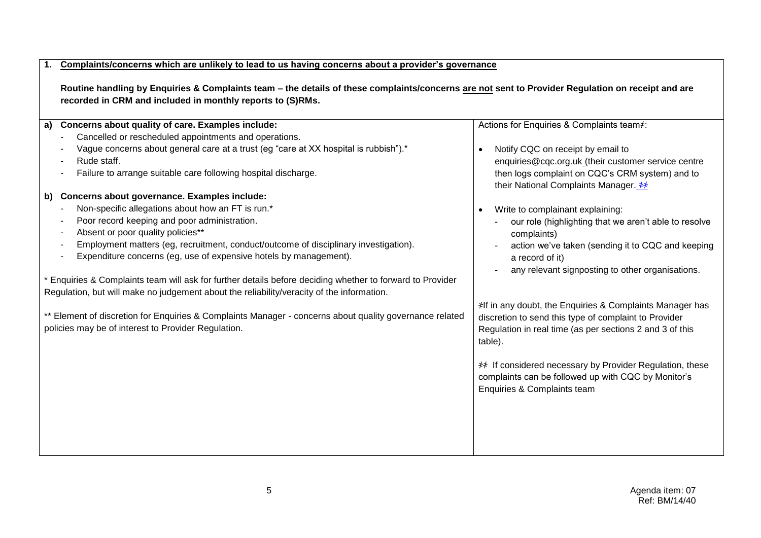#### **1. Complaints/concerns which are unlikely to lead to us having concerns about a provider's governance**

**Routine handling by Enquiries & Complaints team – the details of these complaints/concerns are not sent to Provider Regulation on receipt and are recorded in CRM and included in monthly reports to (S)RMs.**

| Concerns about quality of care. Examples include:<br>a)                                                   | Actions for Enquiries & Complaints team*:                                                |
|-----------------------------------------------------------------------------------------------------------|------------------------------------------------------------------------------------------|
| Cancelled or rescheduled appointments and operations.                                                     |                                                                                          |
| Vague concerns about general care at a trust (eg "care at XX hospital is rubbish").*                      | Notify CQC on receipt by email to                                                        |
| Rude staff.                                                                                               | enquiries@cqc.org.uk_(their customer service centre                                      |
| Failure to arrange suitable care following hospital discharge.                                            | then logs complaint on CQC's CRM system) and to<br>their National Complaints Manager. ** |
| Concerns about governance. Examples include:<br>b)                                                        |                                                                                          |
| Non-specific allegations about how an FT is run.*                                                         | Write to complainant explaining:                                                         |
| Poor record keeping and poor administration.                                                              | our role (highlighting that we aren't able to resolve                                    |
| Absent or poor quality policies**                                                                         | complaints)                                                                              |
| Employment matters (eg, recruitment, conduct/outcome of disciplinary investigation).                      | action we've taken (sending it to CQC and keeping                                        |
| Expenditure concerns (eg, use of expensive hotels by management).                                         | a record of it)                                                                          |
|                                                                                                           | any relevant signposting to other organisations.                                         |
| * Enquiries & Complaints team will ask for further details before deciding whether to forward to Provider |                                                                                          |
| Regulation, but will make no judgement about the reliability/veracity of the information.                 |                                                                                          |
|                                                                                                           | <i></i> ⊁If in any doubt, the Enquiries & Complaints Manager has                         |
| ** Element of discretion for Enquiries & Complaints Manager - concerns about quality governance related   | discretion to send this type of complaint to Provider                                    |
| policies may be of interest to Provider Regulation.                                                       | Regulation in real time (as per sections 2 and 3 of this                                 |
|                                                                                                           | table).                                                                                  |
|                                                                                                           |                                                                                          |
|                                                                                                           | # If considered necessary by Provider Regulation, these                                  |
|                                                                                                           | complaints can be followed up with CQC by Monitor's                                      |
|                                                                                                           | Enquiries & Complaints team                                                              |
|                                                                                                           |                                                                                          |
|                                                                                                           |                                                                                          |
|                                                                                                           |                                                                                          |
|                                                                                                           |                                                                                          |
|                                                                                                           |                                                                                          |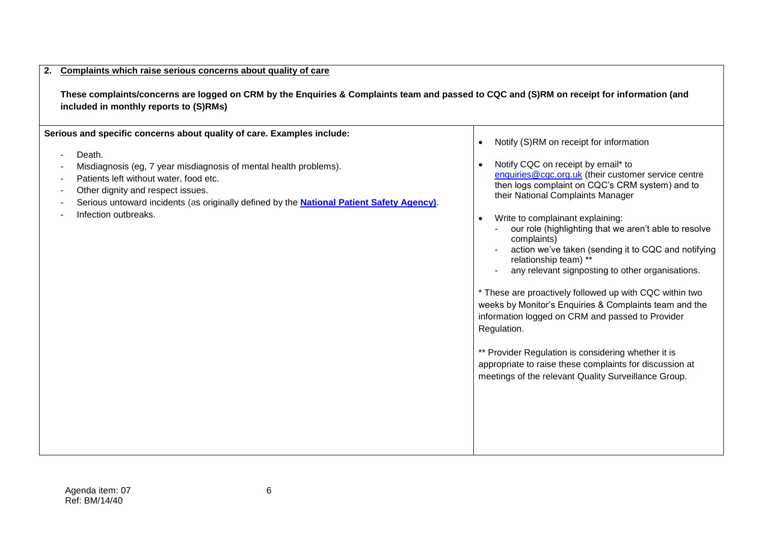#### **2. Complaints which raise serious concerns about quality of care**

**These complaints/concerns are logged on CRM by the Enquiries & Complaints team and passed to CQC and (S)RM on receipt for information (and included in monthly reports to (S)RMs)**

**Serious and specific concerns about quality of care. Examples include:**

- Death.
- Misdiagnosis (eg, 7 year misdiagnosis of mental health problems).
- Patients left without water, food etc.
- Other dignity and respect issues.
- Serious untoward incidents (as originally defined by the **[National Patient Safety Agency\)](http://www.nrls.npsa.nhs.uk/resources/?entryid45=75173)**.
- Infection outbreaks.

• Notify (S)RM on receipt for information

• Notify CQC on receipt by email\* to [enquiries@cqc.org.uk](mailto:enquiries@cqc.org.uk) (their customer service centre then logs complaint on CQC's CRM system) and to their National Complaints Manager

Write to complainant explaining:

- our role (highlighting that we aren't able to resolve complaints)
- action we've taken (sending it to CQC and notifying relationship team) \*\*
- any relevant signposting to other organisations.

\* These are proactively followed up with CQC within two weeks by Monitor's Enquiries & Complaints team and the information logged on CRM and passed to Provider Regulation.

\*\* Provider Regulation is considering whether it is appropriate to raise these complaints for discussion at meetings of the relevant Quality Surveillance Group.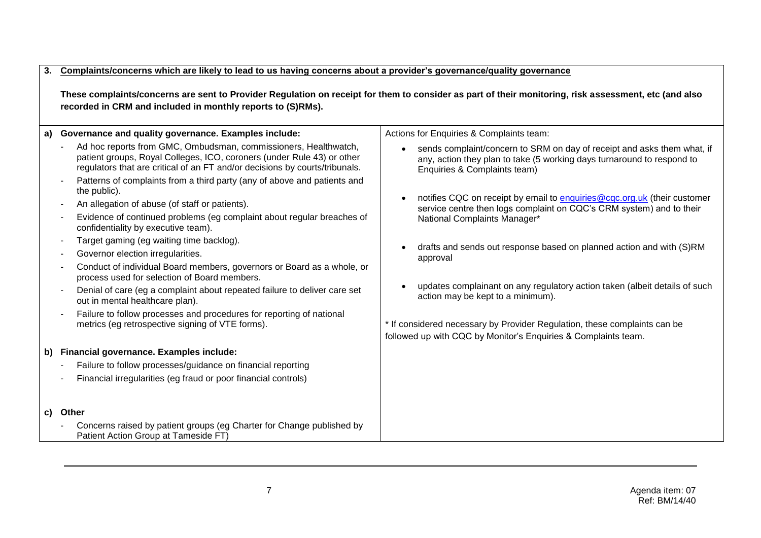## **3. Complaints/concerns which are likely to lead to us having concerns about a provider's governance/quality governance**

**These complaints/concerns are sent to Provider Regulation on receipt for them to consider as part of their monitoring, risk assessment, etc (and also recorded in CRM and included in monthly reports to (S)RMs).**

| a) | Governance and quality governance. Examples include:                                                                                                                                                                                                                                                                                                                                                                                                                                                                                                                                                                                                                                                                                                                       | Actions for Enquiries & Complaints team:                                                                                                                                                                                                                                                                                                                                                                                                                              |  |
|----|----------------------------------------------------------------------------------------------------------------------------------------------------------------------------------------------------------------------------------------------------------------------------------------------------------------------------------------------------------------------------------------------------------------------------------------------------------------------------------------------------------------------------------------------------------------------------------------------------------------------------------------------------------------------------------------------------------------------------------------------------------------------------|-----------------------------------------------------------------------------------------------------------------------------------------------------------------------------------------------------------------------------------------------------------------------------------------------------------------------------------------------------------------------------------------------------------------------------------------------------------------------|--|
|    | Ad hoc reports from GMC, Ombudsman, commissioners, Healthwatch,<br>patient groups, Royal Colleges, ICO, coroners (under Rule 43) or other<br>regulators that are critical of an FT and/or decisions by courts/tribunals.                                                                                                                                                                                                                                                                                                                                                                                                                                                                                                                                                   | sends complaint/concern to SRM on day of receipt and asks them what, if<br>any, action they plan to take (5 working days turnaround to respond to<br>Enquiries & Complaints team)                                                                                                                                                                                                                                                                                     |  |
|    | Patterns of complaints from a third party (any of above and patients and<br>the public).<br>An allegation of abuse (of staff or patients).<br>$\overline{\phantom{a}}$<br>Evidence of continued problems (eg complaint about regular breaches of<br>confidentiality by executive team).<br>Target gaming (eg waiting time backlog).<br>$\overline{\phantom{a}}$<br>Governor election irregularities.<br>Conduct of individual Board members, governors or Board as a whole, or<br>process used for selection of Board members.<br>Denial of care (eg a complaint about repeated failure to deliver care set<br>out in mental healthcare plan).<br>Failure to follow processes and procedures for reporting of national<br>metrics (eg retrospective signing of VTE forms). | notifies CQC on receipt by email to enquiries @cqc.org.uk (their customer<br>service centre then logs complaint on CQC's CRM system) and to their<br>National Complaints Manager*<br>drafts and sends out response based on planned action and with (S)RM<br>approval<br>updates complainant on any regulatory action taken (albeit details of such<br>action may be kept to a minimum).<br>* If considered necessary by Provider Regulation, these complaints can be |  |
|    |                                                                                                                                                                                                                                                                                                                                                                                                                                                                                                                                                                                                                                                                                                                                                                            | followed up with CQC by Monitor's Enquiries & Complaints team.                                                                                                                                                                                                                                                                                                                                                                                                        |  |
|    | b) Financial governance. Examples include:<br>Failure to follow processes/guidance on financial reporting<br>Financial irregularities (eg fraud or poor financial controls)                                                                                                                                                                                                                                                                                                                                                                                                                                                                                                                                                                                                |                                                                                                                                                                                                                                                                                                                                                                                                                                                                       |  |
|    | c) Other                                                                                                                                                                                                                                                                                                                                                                                                                                                                                                                                                                                                                                                                                                                                                                   |                                                                                                                                                                                                                                                                                                                                                                                                                                                                       |  |
|    | Concerns raised by patient groups (eg Charter for Change published by<br>Patient Action Group at Tameside FT)                                                                                                                                                                                                                                                                                                                                                                                                                                                                                                                                                                                                                                                              |                                                                                                                                                                                                                                                                                                                                                                                                                                                                       |  |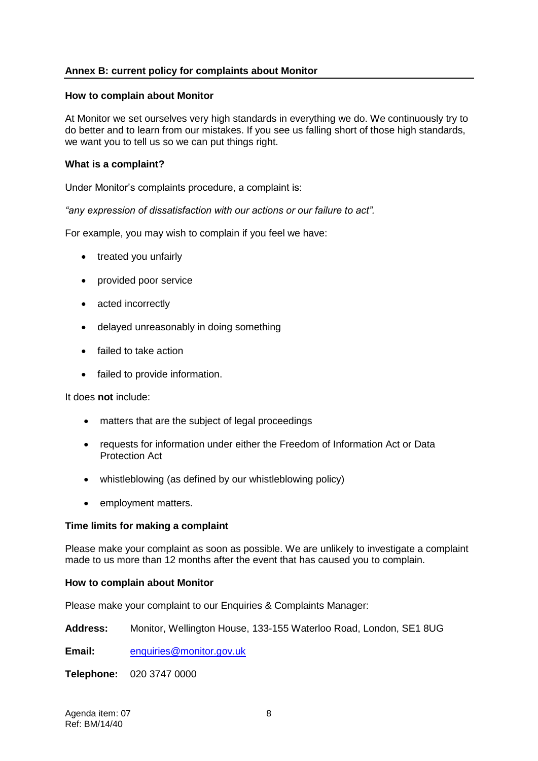# **Annex B: current policy for complaints about Monitor**

## **How to complain about Monitor**

At Monitor we set ourselves very high standards in everything we do. We continuously try to do better and to learn from our mistakes. If you see us falling short of those high standards, we want you to tell us so we can put things right.

## **What is a complaint?**

Under Monitor's complaints procedure, a complaint is:

*"any expression of dissatisfaction with our actions or our failure to act".*

For example, you may wish to complain if you feel we have:

- treated you unfairly
- provided poor service
- acted incorrectly
- delayed unreasonably in doing something
- failed to take action
- failed to provide information.

It does **not** include:

- matters that are the subject of legal proceedings
- requests for information under either the Freedom of Information Act or Data Protection Act
- whistleblowing (as defined by our whistleblowing policy)
- employment matters.

#### **Time limits for making a complaint**

Please make your complaint as soon as possible. We are unlikely to investigate a complaint made to us more than 12 months after the event that has caused you to complain.

#### **How to complain about Monitor**

Please make your complaint to our Enquiries & Complaints Manager:

**Address:** Monitor, Wellington House, 133-155 Waterloo Road, London, SE1 8UG

**Email:** [enquiries@monitor.gov.uk](mailto:enquiries@monitor.gov.uk)

**Telephone:** 020 3747 0000